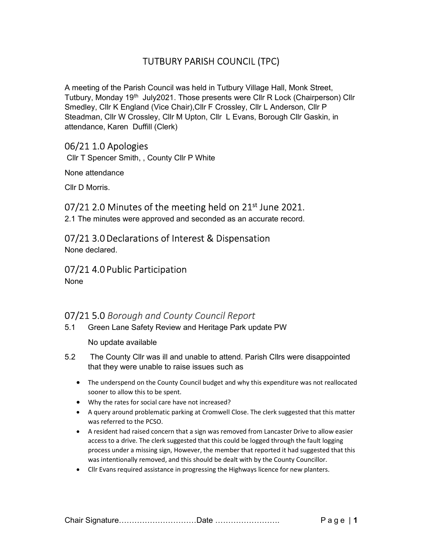# TUTBURY PARISH COUNCIL (TPC)

A meeting of the Parish Council was held in Tutbury Village Hall, Monk Street, Tutbury, Monday 19th July2021. Those presents were Cllr R Lock (Chairperson) Cllr Smedley, Cllr K England (Vice Chair),Cllr F Crossley, Cllr L Anderson, Cllr P Steadman, Cllr W Crossley, Cllr M Upton, Cllr L Evans, Borough Cllr Gaskin, in attendance, Karen Duffill (Clerk)

## 06/21 1.0 Apologies

Cllr T Spencer Smith, , County Cllr P White

None attendance

Cllr D Morris.

## 07/21 2.0 Minutes of the meeting held on 21<sup>st</sup> June 2021.

2.1 The minutes were approved and seconded as an accurate record.

### 07/21 3.0 Declarations of Interest & Dispensation

None declared.

### 07/21 4.0 Public Participation

None

# 07/21 5.0 Borough and County Council Report

5.1 Green Lane Safety Review and Heritage Park update PW

No update available

- 5.2 The County Cllr was ill and unable to attend. Parish Cllrs were disappointed that they were unable to raise issues such as
	- The underspend on the County Council budget and why this expenditure was not reallocated sooner to allow this to be spent.
	- Why the rates for social care have not increased?
	- A query around problematic parking at Cromwell Close. The clerk suggested that this matter was referred to the PCSO.
	- A resident had raised concern that a sign was removed from Lancaster Drive to allow easier access to a drive. The clerk suggested that this could be logged through the fault logging process under a missing sign, However, the member that reported it had suggested that this was intentionally removed, and this should be dealt with by the County Councillor.
	- Cllr Evans required assistance in progressing the Highways licence for new planters.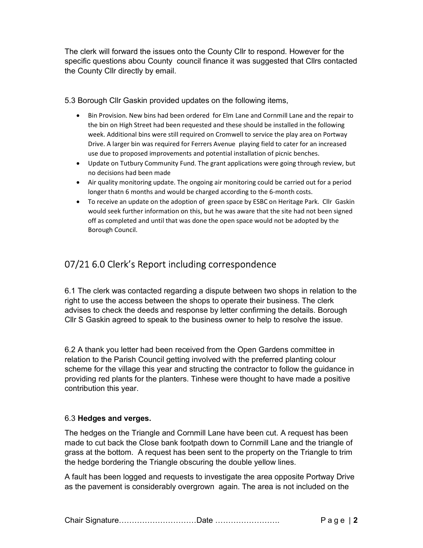The clerk will forward the issues onto the County Cllr to respond. However for the specific questions abou County council finance it was suggested that Cllrs contacted the County Cllr directly by email.

5.3 Borough Cllr Gaskin provided updates on the following items,

- Bin Provision. New bins had been ordered for Elm Lane and Cornmill Lane and the repair to the bin on High Street had been requested and these should be installed in the following week. Additional bins were still required on Cromwell to service the play area on Portway Drive. A larger bin was required for Ferrers Avenue playing field to cater for an increased use due to proposed improvements and potential installation of picnic benches.
- Update on Tutbury Community Fund. The grant applications were going through review, but no decisions had been made
- Air quality monitoring update. The ongoing air monitoring could be carried out for a period longer thatn 6 months and would be charged according to the 6-month costs.
- To receive an update on the adoption of green space by ESBC on Heritage Park. Cllr Gaskin would seek further information on this, but he was aware that the site had not been signed off as completed and until that was done the open space would not be adopted by the Borough Council.

# 07/21 6.0 Clerk's Report including correspondence

6.1 The clerk was contacted regarding a dispute between two shops in relation to the right to use the access between the shops to operate their business. The clerk advises to check the deeds and response by letter confirming the details. Borough Cllr S Gaskin agreed to speak to the business owner to help to resolve the issue.

6.2 A thank you letter had been received from the Open Gardens committee in relation to the Parish Council getting involved with the preferred planting colour scheme for the village this year and structing the contractor to follow the guidance in providing red plants for the planters. Tinhese were thought to have made a positive contribution this year.

### 6.3 Hedges and verges.

The hedges on the Triangle and Cornmill Lane have been cut. A request has been made to cut back the Close bank footpath down to Cornmill Lane and the triangle of grass at the bottom. A request has been sent to the property on the Triangle to trim the hedge bordering the Triangle obscuring the double yellow lines.

A fault has been logged and requests to investigate the area opposite Portway Drive as the pavement is considerably overgrown again. The area is not included on the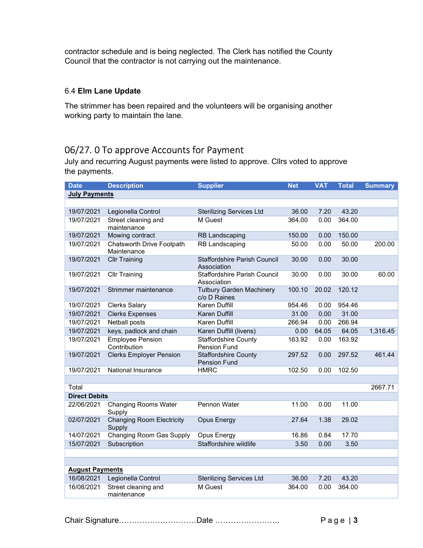contractor schedule and is being neglected. The Clerk has notified the County Council that the contractor is not carrying out the maintenance.

### 6.4 Elm Lane Update

The strimmer has been repaired and the volunteers will be organising another working party to maintain the lane.

# 06/27. 0 To approve Accounts for Payment

July and recurring August payments were listed to approve. Cllrs voted to approve the payments.

| <b>Date</b>            | <b>Description</b>                         | <b>Supplier</b>                                    | <b>Net</b> | <b>VAT</b> | <b>Total</b> | <b>Summary</b> |  |  |  |  |
|------------------------|--------------------------------------------|----------------------------------------------------|------------|------------|--------------|----------------|--|--|--|--|
| <b>July Payments</b>   |                                            |                                                    |            |            |              |                |  |  |  |  |
|                        |                                            |                                                    |            |            |              |                |  |  |  |  |
| 19/07/2021             | Legionella Control                         | <b>Sterilizing Services Ltd</b>                    | 36.00      | 7.20       | 43.20        |                |  |  |  |  |
| 19/07/2021             | Street cleaning and<br>maintenance         | M Guest                                            | 364.00     | 0.00       | 364.00       |                |  |  |  |  |
| 19/07/2021             | Mowing contract                            | <b>RB Landscaping</b>                              | 150.00     | 0.00       | 150.00       |                |  |  |  |  |
| 19/07/2021             | Chatsworth Drive Footpath<br>Maintenance   | RB Landscaping                                     | 50.00      | 0.00       | 50.00        | 200.00         |  |  |  |  |
| 19/07/2021             | <b>Cllr Training</b>                       | <b>Staffordshire Parish Council</b><br>Association | 30.00      | 0.00       | 30.00        |                |  |  |  |  |
| 19/07/2021             | <b>Cllr Training</b>                       | Staffordshire Parish Council<br>Association        | 30.00      | 0.00       | 30.00        | 60.00          |  |  |  |  |
| 19/07/2021             | Strimmer maintenance                       | <b>Tutbury Garden Machinery</b><br>c/o D Raines    | 100.10     | 20.02      | 120.12       |                |  |  |  |  |
| 19/07/2021             | <b>Clerks Salary</b>                       | <b>Karen Duffill</b>                               | 954.46     | 0.00       | 954.46       |                |  |  |  |  |
| 19/07/2021             | <b>Clerks Expenses</b>                     | Karen Duffill                                      | 31.00      | 0.00       | 31.00        |                |  |  |  |  |
| 19/07/2021             | Netball posts                              | Karen Duffill                                      | 266.94     | 0.00       | 266.94       |                |  |  |  |  |
| 19/07/2021             | keys, padlock and chain                    | Karen Duffill (livens)                             | 0.00       | 64.05      | 64.05        | 1,316.45       |  |  |  |  |
| 19/07/2021             | <b>Employee Pension</b><br>Contribution    | <b>Staffordshire County</b><br>Pension Fund        | 163.92     | 0.00       | 163.92       |                |  |  |  |  |
| 19/07/2021             | <b>Clerks Employer Pension</b>             | <b>Staffordshire County</b><br><b>Pension Fund</b> | 297.52     | 0.00       | 297.52       | 461.44         |  |  |  |  |
| 19/07/2021             | National Insurance                         | <b>HMRC</b>                                        | 102.50     | 0.00       | 102.50       |                |  |  |  |  |
|                        |                                            |                                                    |            |            |              |                |  |  |  |  |
| Total                  |                                            |                                                    |            |            |              | 2667.71        |  |  |  |  |
| <b>Direct Debits</b>   |                                            |                                                    |            |            |              |                |  |  |  |  |
| 22/06/2021             | <b>Changing Rooms Water</b><br>Supply      | Pennon Water                                       | 11.00      | 0.00       | 11.00        |                |  |  |  |  |
| 02/07/2021             | <b>Changing Room Electricity</b><br>Supply | <b>Opus Energy</b>                                 | 27.64      | 1.38       | 29.02        |                |  |  |  |  |
| 14/07/2021             | Changing Room Gas Supply                   | Opus Energy                                        | 16.86      | 0.84       | 17.70        |                |  |  |  |  |
| 15/07/2021             | Subscription                               | Staffordshire wildlife                             | 3.50       | 0.00       | 3.50         |                |  |  |  |  |
|                        |                                            |                                                    |            |            |              |                |  |  |  |  |
|                        |                                            |                                                    |            |            |              |                |  |  |  |  |
| <b>August Payments</b> |                                            |                                                    |            |            |              |                |  |  |  |  |
| 16/08/2021             | Legionella Control                         | <b>Sterilizing Services Ltd</b>                    | 36.00      | 7.20       | 43.20        |                |  |  |  |  |
| 16/08/2021             | Street cleaning and<br>maintenance         | M Guest                                            | 364.00     | 0.00       | 364.00       |                |  |  |  |  |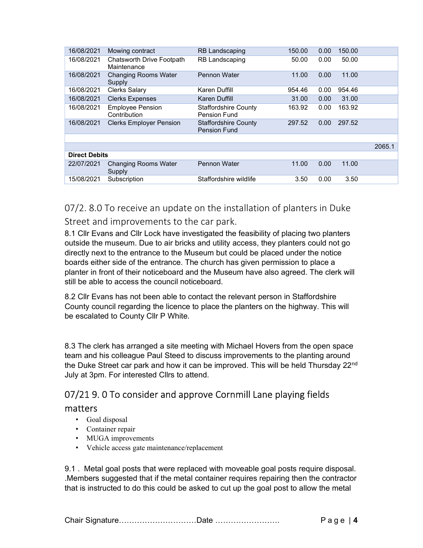| 16/08/2021           | Mowing contract                                 | <b>RB Landscaping</b>                              | 150.00 | 0.00 | 150.00 |        |  |
|----------------------|-------------------------------------------------|----------------------------------------------------|--------|------|--------|--------|--|
| 16/08/2021           | <b>Chatsworth Drive Footpath</b><br>Maintenance | <b>RB Landscaping</b>                              | 50.00  | 0.00 | 50.00  |        |  |
| 16/08/2021           | <b>Changing Rooms Water</b><br>Supply           | <b>Pennon Water</b>                                | 11.00  | 0.00 | 11.00  |        |  |
| 16/08/2021           | <b>Clerks Salary</b>                            | Karen Duffill                                      | 954.46 | 0.00 | 954.46 |        |  |
| 16/08/2021           | <b>Clerks Expenses</b>                          | Karen Duffill                                      | 31.00  | 0.00 | 31.00  |        |  |
| 16/08/2021           | <b>Employee Pension</b><br>Contribution         | <b>Staffordshire County</b><br>Pension Fund        | 163.92 | 0.00 | 163.92 |        |  |
| 16/08/2021           | <b>Clerks Employer Pension</b>                  | <b>Staffordshire County</b><br><b>Pension Fund</b> | 297.52 | 0.00 | 297.52 |        |  |
|                      |                                                 |                                                    |        |      |        |        |  |
|                      |                                                 |                                                    |        |      |        | 2065.1 |  |
| <b>Direct Debits</b> |                                                 |                                                    |        |      |        |        |  |
| 22/07/2021           | <b>Changing Rooms Water</b><br>Supply           | Pennon Water                                       | 11.00  | 0.00 | 11.00  |        |  |
| 15/08/2021           | Subscription                                    | Staffordshire wildlife                             | 3.50   | 0.00 | 3.50   |        |  |

07/2. 8.0 To receive an update on the installation of planters in Duke Street and improvements to the car park.

8.1 Cllr Evans and Cllr Lock have investigated the feasibility of placing two planters outside the museum. Due to air bricks and utility access, they planters could not go directly next to the entrance to the Museum but could be placed under the notice boards either side of the entrance. The church has given permission to place a planter in front of their noticeboard and the Museum have also agreed. The clerk will still be able to access the council noticeboard.

8.2 Cllr Evans has not been able to contact the relevant person in Staffordshire County council regarding the licence to place the planters on the highway. This will be escalated to County Cllr P White.

8.3 The clerk has arranged a site meeting with Michael Hovers from the open space team and his colleague Paul Steed to discuss improvements to the planting around the Duke Street car park and how it can be improved. This will be held Thursday 22<sup>nd</sup> July at 3pm. For interested Cllrs to attend.

# 07/21 9. 0 To consider and approve Cornmill Lane playing fields

### matters

- Goal disposal
- Container repair
- MUGA improvements
- Vehicle access gate maintenance/replacement

9.1 . Metal goal posts that were replaced with moveable goal posts require disposal. .Members suggested that if the metal container requires repairing then the contractor that is instructed to do this could be asked to cut up the goal post to allow the metal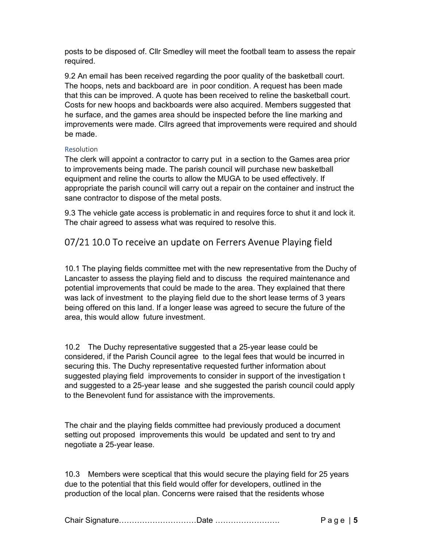posts to be disposed of. Cllr Smedley will meet the football team to assess the repair required.

9.2 An email has been received regarding the poor quality of the basketball court. The hoops, nets and backboard are in poor condition. A request has been made that this can be improved. A quote has been received to reline the basketball court. Costs for new hoops and backboards were also acquired. Members suggested that he surface, and the games area should be inspected before the line marking and improvements were made. Cllrs agreed that improvements were required and should be made.

### **Resolution**

The clerk will appoint a contractor to carry put in a section to the Games area prior to improvements being made. The parish council will purchase new basketball equipment and reline the courts to allow the MUGA to be used effectively. If appropriate the parish council will carry out a repair on the container and instruct the sane contractor to dispose of the metal posts.

9.3 The vehicle gate access is problematic in and requires force to shut it and lock it. The chair agreed to assess what was required to resolve this.

# 07/21 10.0 To receive an update on Ferrers Avenue Playing field

10.1 The playing fields committee met with the new representative from the Duchy of Lancaster to assess the playing field and to discuss the required maintenance and potential improvements that could be made to the area. They explained that there was lack of investment to the playing field due to the short lease terms of 3 years being offered on this land. If a longer lease was agreed to secure the future of the area, this would allow future investment.

10.2 The Duchy representative suggested that a 25-year lease could be considered, if the Parish Council agree to the legal fees that would be incurred in securing this. The Duchy representative requested further information about suggested playing field improvements to consider in support of the investigation t and suggested to a 25-year lease and she suggested the parish council could apply to the Benevolent fund for assistance with the improvements.

The chair and the playing fields committee had previously produced a document setting out proposed improvements this would be updated and sent to try and negotiate a 25-year lease.

10.3 Members were sceptical that this would secure the playing field for 25 years due to the potential that this field would offer for developers, outlined in the production of the local plan. Concerns were raised that the residents whose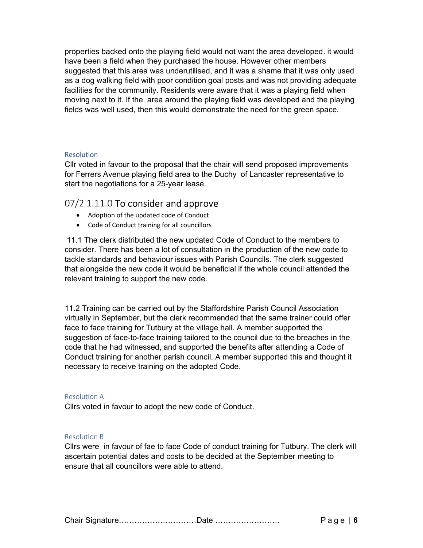properties backed onto the playing field would not want the area developed. it would have been a field when they purchased the house. However other members suggested that this area was underutilised, and it was a shame that it was only used as a dog walking field with poor condition goal posts and was not providing adequate facilities for the community. Residents were aware that it was a playing field when moving next to it. If the area around the playing field was developed and the playing fields was well used, then this would demonstrate the need for the green space.

#### **Resolution**

Cllr voted in favour to the proposal that the chair will send proposed improvements for Ferrers Avenue playing field area to the Duchy of Lancaster representative to start the negotiations for a 25-year lease.

### 07/2 1.11.0 To consider and approve

- Adoption of the updated code of Conduct
- Code of Conduct training for all councillors

 11.1 The clerk distributed the new updated Code of Conduct to the members to consider. There has been a lot of consultation in the production of the new code to tackle standards and behaviour issues with Parish Councils. The clerk suggested that alongside the new code it would be beneficial if the whole council attended the relevant training to support the new code.

11.2 Training can be carried out by the Staffordshire Parish Council Association virtually in September, but the clerk recommended that the same trainer could offer face to face training for Tutbury at the village hall. A member supported the suggestion of face-to-face training tailored to the council due to the breaches in the code that he had witnessed, and supported the benefits after attending a Code of Conduct training for another parish council. A member supported this and thought it necessary to receive training on the adopted Code.

#### Resolution A

Cllrs voted in favour to adopt the new code of Conduct.

#### Resolution B

Cllrs were in favour of fae to face Code of conduct training for Tutbury. The clerk will ascertain potential dates and costs to be decided at the September meeting to ensure that all councillors were able to attend.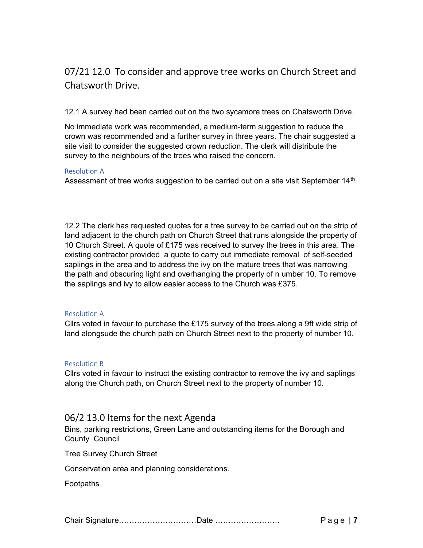# 07/21 12.0 To consider and approve tree works on Church Street and Chatsworth Drive.

12.1 A survey had been carried out on the two sycamore trees on Chatsworth Drive.

No immediate work was recommended, a medium-term suggestion to reduce the crown was recommended and a further survey in three years. The chair suggested a site visit to consider the suggested crown reduction. The clerk will distribute the survey to the neighbours of the trees who raised the concern.

#### Resolution A

Assessment of tree works suggestion to be carried out on a site visit September 14<sup>th</sup>

12.2 The clerk has requested quotes for a tree survey to be carried out on the strip of land adjacent to the church path on Church Street that runs alongside the property of 10 Church Street. A quote of £175 was received to survey the trees in this area. The existing contractor provided a quote to carry out immediate removal of self-seeded saplings in the area and to address the ivy on the mature trees that was narrowing the path and obscuring light and overhanging the property of n umber 10. To remove the saplings and ivy to allow easier access to the Church was £375.

#### Resolution A

Cllrs voted in favour to purchase the £175 survey of the trees along a 9ft wide strip of land alongsude the church path on Church Street next to the property of number 10.

#### Resolution B

Cllrs voted in favour to instruct the existing contractor to remove the ivy and saplings along the Church path, on Church Street next to the property of number 10.

### 06/2 13.0 Items for the next Agenda

Bins, parking restrictions, Green Lane and outstanding items for the Borough and County Council

Tree Survey Church Street

Conservation area and planning considerations.

**Footpaths**